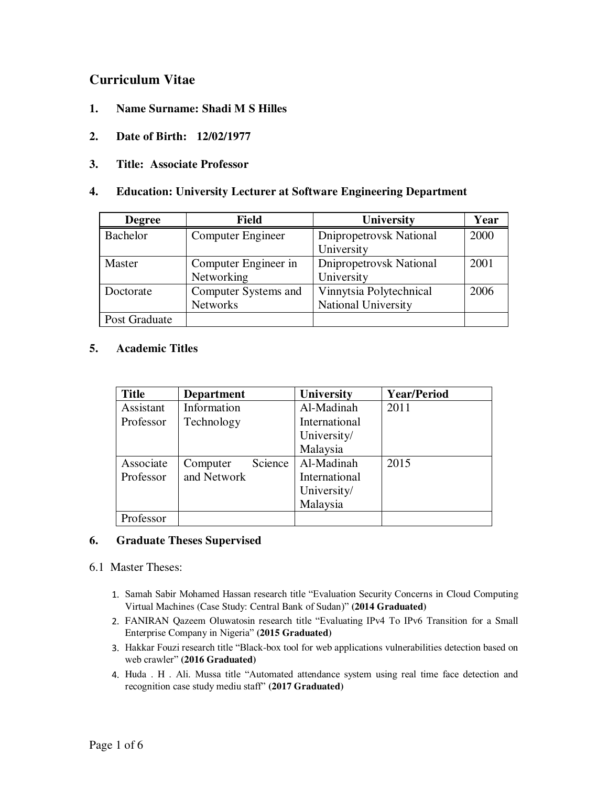# **Curriculum Vitae**

- **1. Name Surname: Shadi M S Hilles**
- **2. Date of Birth: 12/02/1977**
- **3. Title: Associate Professor**

### **4. Education: University Lecturer at Software Engineering Department**

| <b>Degree</b>   | <b>Field</b>         | University                 | Year |
|-----------------|----------------------|----------------------------|------|
| <b>Bachelor</b> | Computer Engineer    | Dnipropetrovsk National    | 2000 |
|                 |                      | University                 |      |
| Master          | Computer Engineer in | Dnipropetrovsk National    | 2001 |
|                 | Networking           | University                 |      |
| Doctorate       | Computer Systems and | Vinnytsia Polytechnical    | 2006 |
|                 | <b>Networks</b>      | <b>National University</b> |      |
| Post Graduate   |                      |                            |      |

### **5. Academic Titles**

| <b>Department</b> | <b>University</b> | <b>Year/Period</b> |
|-------------------|-------------------|--------------------|
| Information       | Al-Madinah        | 2011               |
| Technology        | International     |                    |
|                   | University/       |                    |
|                   | Malaysia          |                    |
| Computer          | Al-Madinah        | 2015               |
| and Network       | International     |                    |
|                   | University/       |                    |
|                   | Malaysia          |                    |
|                   |                   |                    |
|                   | Science           |                    |

### **6. Graduate Theses Supervised**

### 6.1 Master Theses:

- 1. Samah Sabir Mohamed Hassan research title "Evaluation Security Concerns in Cloud Computing Virtual Machines (Case Study: Central Bank of Sudan)" **(2014 Graduated)**
- 2. FANIRAN Qazeem Oluwatosin research title "Evaluating IPv4 To IPv6 Transition for a Small Enterprise Company in Nigeria" **(2015 Graduated)**
- 3. Hakkar Fouzi research title "Black-box tool for web applications vulnerabilities detection based on web crawler" **(2016 Graduated)**
- 4. Huda . H . Ali. Mussa title "Automated attendance system using real time face detection and recognition case study mediu staff" **(2017 Graduated)**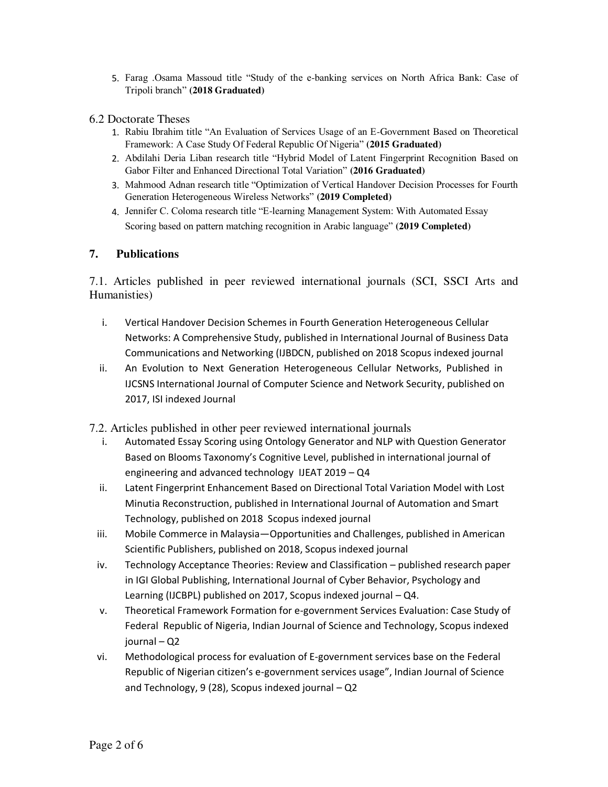- 5. Farag .Osama Massoud title "Study of the e-banking services on North Africa Bank: Case of Tripoli branch" **(2018 Graduated)**
- 6.2 Doctorate Theses
	- 1. Rabiu Ibrahim title "An Evaluation of Services Usage of an E-Government Based on Theoretical Framework: A Case Study Of Federal Republic Of Nigeria" **(2015 Graduated)**
	- 2. Abdilahi Deria Liban research title "Hybrid Model of Latent Fingerprint Recognition Based on Gabor Filter and Enhanced Directional Total Variation" **(2016 Graduated)**
	- 3. Mahmood Adnan research title "Optimization of Vertical Handover Decision Processes for Fourth Generation Heterogeneous Wireless Networks" **(2019 Completed)**
	- 4. Jennifer C. Coloma research title "E-learning Management System: With Automated Essay Scoring based on pattern matching recognition in Arabic language" **(2019 Completed)**

## **7. Publications**

7.1. Articles published in peer reviewed international journals (SCI, SSCI Arts and Humanisties)

- i. Vertical Handover Decision Schemes in Fourth Generation Heterogeneous Cellular Networks: A Comprehensive Study, published in International Journal of Business Data Communications and Networking (IJBDCN, published on 2018 Scopus indexed journal
- ii. An Evolution to Next Generation Heterogeneous Cellular Networks, Published in IJCSNS International Journal of Computer Science and Network Security, published on 2017, ISI indexed Journal
- 7.2. Articles published in other peer reviewed international journals
	- i. Automated Essay Scoring using Ontology Generator and NLP with Question Generator Based on Blooms Taxonomy's Cognitive Level, published in international journal of engineering and advanced technology IJEAT 2019 – Q4
	- ii. Latent Fingerprint Enhancement Based on Directional Total Variation Model with Lost Minutia Reconstruction, published in International Journal of Automation and Smart Technology, published on 2018 Scopus indexed journal
	- iii. Mobile Commerce in Malaysia—Opportunities and Challenges, published in American Scientific Publishers, published on 2018, Scopus indexed journal
	- iv. Technology Acceptance Theories: Review and Classification published research paper in IGI Global Publishing, International Journal of Cyber Behavior, Psychology and Learning (IJCBPL) published on 2017, Scopus indexed journal – Q4.
	- v. Theoretical Framework Formation for e-government Services Evaluation: Case Study of Federal Republic of Nigeria, Indian Journal of Science and Technology, Scopus indexed journal – Q2
- vi. Methodological process for evaluation of E-government services base on the Federal Republic of Nigerian citizen's e-government services usage", Indian Journal of Science and Technology, 9 (28), Scopus indexed journal – Q2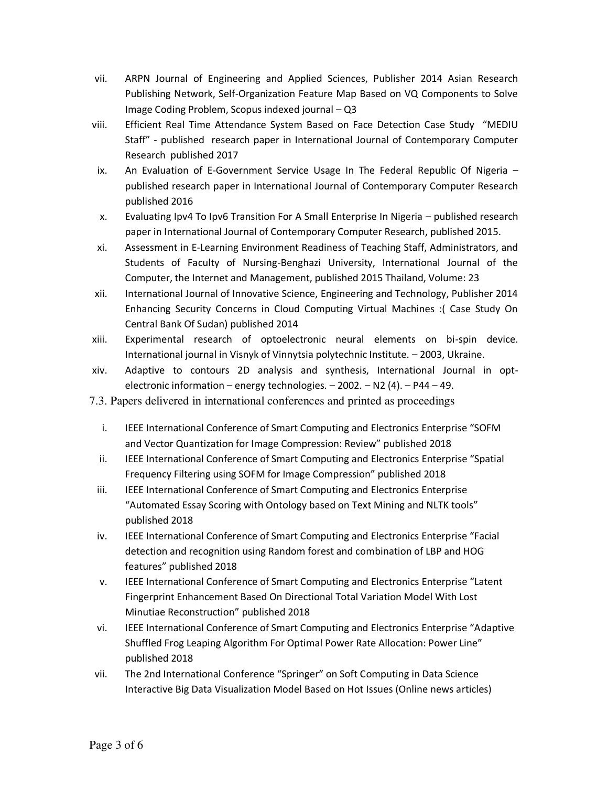- ARPN Journal of Engineering and Applied Sciences, Publisher 2014 Asian Research vii. Publishing Network, Self-Organization Feature Map Based on VQ Components to Solve Image Coding Problem, Scopus indexed journal - Q3
- viii. Efficient Real Time Attendance System Based on Face Detection Case Study "MEDIU Staff" - published research paper in International Journal of Contemporary Computer Research published 2017
- ix. An Evaluation of E-Government Service Usage In The Federal Republic Of Nigeria published research paper in International Journal of Contemporary Computer Research published 2016
- Evaluating Ipv4 To Ipv6 Transition For A Small Enterprise In Nigeria published research X. paper in International Journal of Contemporary Computer Research, published 2015.
- xi. Assessment in E-Learning Environment Readiness of Teaching Staff, Administrators, and Students of Faculty of Nursing-Benghazi University, International Journal of the Computer, the Internet and Management, published 2015 Thailand, Volume: 23
- xii. International Journal of Innovative Science, Engineering and Technology, Publisher 2014 Enhancing Security Concerns in Cloud Computing Virtual Machines :( Case Study On Central Bank Of Sudan) published 2014
- xiii. Experimental research of optoelectronic neural elements on bi-spin device. International journal in Visnyk of Vinnytsia polytechnic Institute. - 2003, Ukraine.
- xiv. Adaptive to contours 2D analysis and synthesis, International Journal in optelectronic information – energy technologies.  $-2002 - N2(4) - P44 - 49$ .
- 7.3. Papers delivered in international conferences and printed as proceedings
	- $\mathbf{i}$ . IEEE International Conference of Smart Computing and Electronics Enterprise "SOFM and Vector Quantization for Image Compression: Review" published 2018
	- ii. IEEE International Conference of Smart Computing and Electronics Enterprise "Spatial Frequency Filtering using SOFM for Image Compression" published 2018
	- iii. **IEEE International Conference of Smart Computing and Electronics Enterprise** "Automated Essay Scoring with Ontology based on Text Mining and NLTK tools" published 2018
	- iv. IEEE International Conference of Smart Computing and Electronics Enterprise "Facial detection and recognition using Random forest and combination of LBP and HOG features" published 2018
	- v. IEEE International Conference of Smart Computing and Electronics Enterprise "Latent" Fingerprint Enhancement Based On Directional Total Variation Model With Lost Minutiae Reconstruction" published 2018
- vi. IEEE International Conference of Smart Computing and Electronics Enterprise "Adaptive Shuffled Frog Leaping Algorithm For Optimal Power Rate Allocation: Power Line" published 2018
- vii. The 2nd International Conference "Springer" on Soft Computing in Data Science Interactive Big Data Visualization Model Based on Hot Issues (Online news articles)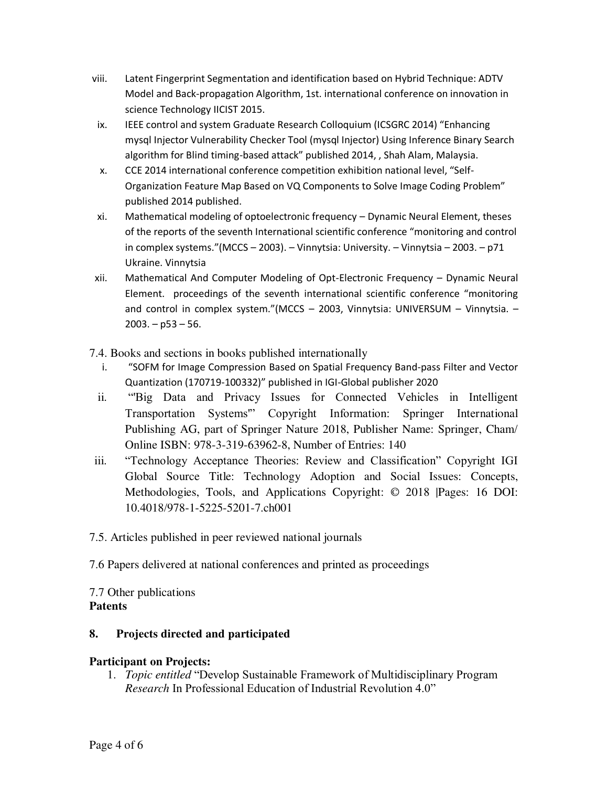- viii. Latent Fingerprint Segmentation and identification based on Hybrid Technique: ADTV Model and Back-propagation Algorithm, 1st. international conference on innovation in science Technology IICIST 2015.
- ix. IEEE control and system Graduate Research Colloquium (ICSGRC 2014) "Enhancing mysql Injector Vulnerability Checker Tool (mysql Injector) Using Inference Binary Search algorithm for Blind timing-based attack" published 2014, , Shah Alam, Malaysia.
- CCE 2014 international conference competition exhibition national level, "Self-X. Organization Feature Map Based on VQ Components to Solve Image Coding Problem" published 2014 published.
- xi. Mathematical modeling of optoelectronic frequency - Dynamic Neural Element, theses of the reports of the seventh International scientific conference "monitoring and control in complex systems."(MCCS - 2003). - Vinnytsia: University. - Vinnytsia - 2003. - p71 Ukraine. Vinnytsia
- xii. Mathematical And Computer Modeling of Opt-Electronic Frequency - Dynamic Neural Element. proceedings of the seventh international scientific conference "monitoring and control in complex system."(MCCS - 2003, Vinnytsia: UNIVERSUM - Vinnytsia. - $2003. - p53 - 56.$
- 7.4. Books and sections in books published internationally
	- "SOFM for Image Compression Based on Spatial Frequency Band-pass Filter and Vector  $\mathbf{i}$ . Quantization (170719-100332)" published in IGI-Global publisher 2020
	- $ii.$ "Big Data and Privacy Issues for Connected Vehicles in Intelligent Transportation Systems" Copyright Information: Springer International Publishing AG, part of Springer Nature 2018, Publisher Name: Springer, Cham/ Online ISBN: 978-3-319-63962-8, Number of Entries: 140
- iii. "Technology Acceptance Theories: Review and Classification" Copyright IGI Global Source Title: Technology Adoption and Social Issues: Concepts, Methodologies, Tools, and Applications Copyright: © 2018 |Pages: 16 DOI: 10.4018/978-1-5225-5201-7.ch001
- 7.5. Articles published in peer reviewed national journals
- 7.6 Papers delivered at national conferences and printed as proceedings

7.7 Other publications **Patents** 

#### 8. Projects directed and participated

## **Participant on Projects:**

1. *Topic entitled* "Develop Sustainable Framework of Multidisciplinary Program *Research* In Professional Education of Industrial Revolution 4.0"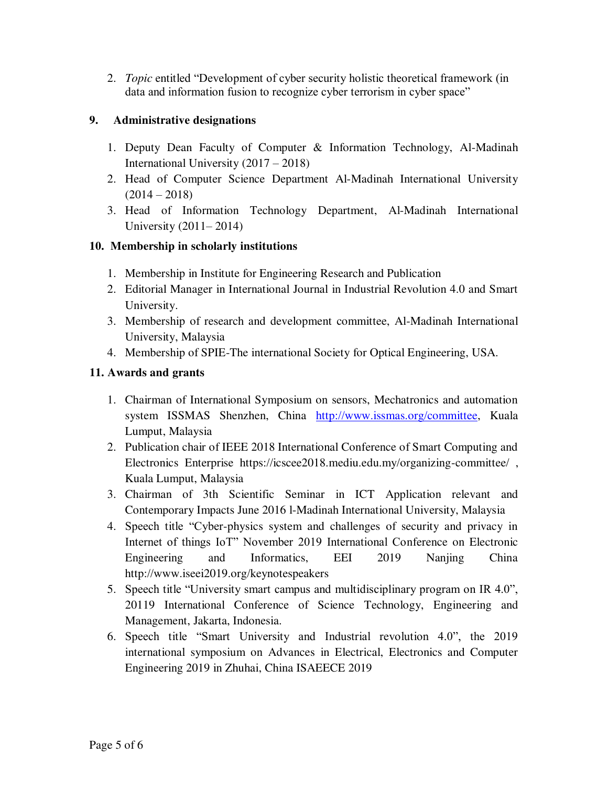2. *Topic* entitled "Development of cyber security holistic theoretical framework (in data and information fusion to recognize cyber terrorism in cyber space"

# **9. Administrative designations**

- 1. Deputy Dean Faculty of Computer & Information Technology, Al-Madinah International University (2017 – 2018)
- 2. Head of Computer Science Department Al-Madinah International University  $(2014 - 2018)$
- 3. Head of Information Technology Department, Al-Madinah International University (2011– 2014)

## **10. Membership in scholarly institutions**

- 1. Membership in Institute for Engineering Research and Publication
- 2. Editorial Manager in International Journal in Industrial Revolution 4.0 and Smart University.
- 3. Membership of research and development committee, Al-Madinah International University, Malaysia
- 4. Membership of SPIE-The international Society for Optical Engineering, USA.

## **11. Awards and grants**

- 1. Chairman of International Symposium on sensors, Mechatronics and automation system ISSMAS Shenzhen, China [http://www.issmas.org/committee,](http://www.issmas.org/committee) Kuala Lumput, Malaysia
- 2. Publication chair of IEEE 2018 International Conference of Smart Computing and Electronics Enterprise https://icscee2018.mediu.edu.my/organizing-committee/ , Kuala Lumput, Malaysia
- 3. Chairman of 3th Scientific Seminar in ICT Application relevant and Contemporary Impacts June 2016 l-Madinah International University, Malaysia
- 4. Speech title "Cyber-physics system and challenges of security and privacy in Internet of things IoT" November 2019 International Conference on Electronic Engineering and Informatics, EEI 2019 Nanjing China http://www.iseei2019.org/keynotespeakers
- 5. Speech title "University smart campus and multidisciplinary program on IR 4.0", 20119 International Conference of Science Technology, Engineering and Management, Jakarta, Indonesia.
- 6. Speech title "Smart University and Industrial revolution 4.0", the 2019 international symposium on Advances in Electrical, Electronics and Computer Engineering 2019 in Zhuhai, China ISAEECE 2019